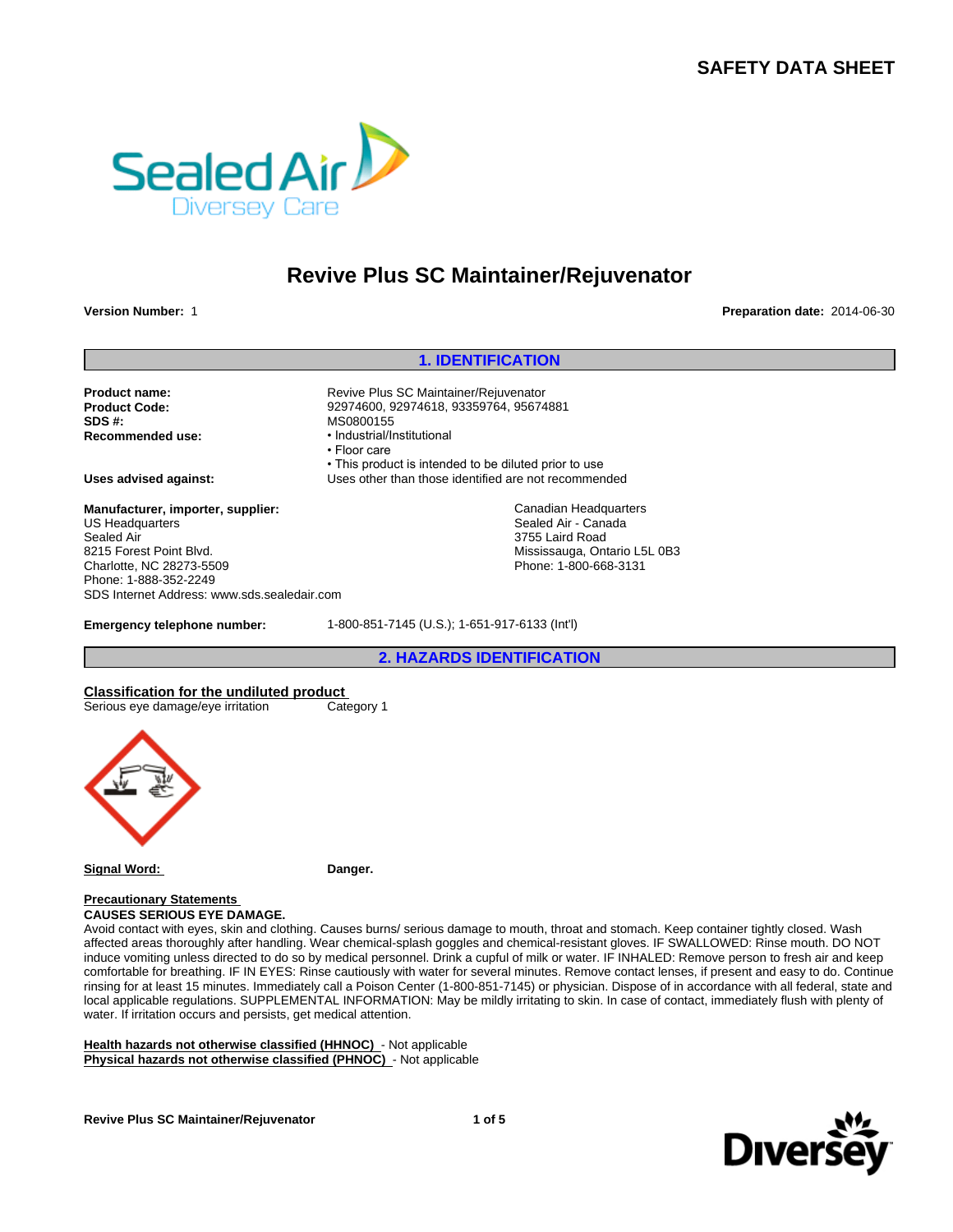# **SAFETY DATA SHEET**



# **Revive Plus SC Maintainer/Rejuvenator**

**Version Number:** 1 **Preparation date:** 2014-06-30

#### **1. IDENTIFICATION**

Product name: **Product name:** Revive Plus SC Maintainer/Rejuvenator **Product Code:** 92974600, 92974618, 93359764, 95674881 **SDS #:** MS0800155<br> **Recommended use:** Mecommended use:

**Manufacturer, importer, supplier:** US Headquarters Sealed Air 8215 Forest Point Blvd. Charlotte, NC 28273-5509 Phone: 1-888-352-2249 SDS Internet Address: www.sds.sealedair.com

• This product is intended to be diluted prior to use **Uses advised against:** Uses other than those identified are not recommended

**Recommended use:** •Industrial/Institutional

• Floor care

Canadian Headquarters Sealed Air - Canada 3755 Laird Road Mississauga, Ontario L5L 0B3 Phone: 1-800-668-3131

**Emergency telephone number:** 1-800-851-7145 (U.S.); 1-651-917-6133 (Int'l)

**2. HAZARDS IDENTIFICATION**

**Classification for the undiluted product**  Serious eye damage/eye irritation Category 1



**Signal Word: Danger.**

**Precautionary Statements CAUSES SERIOUS EYE DAMAGE.**

Avoid contact with eyes, skin and clothing. Causes burns/ serious damage to mouth, throat and stomach. Keep container tightly closed. Wash affected areas thoroughly after handling. Wear chemical-splash goggles and chemical-resistant gloves. IF SWALLOWED: Rinse mouth. DO NOT induce vomiting unless directed to do so by medical personnel. Drink a cupful of milk or water. IF INHALED: Remove person to fresh air and keep comfortable for breathing. IF IN EYES: Rinse cautiously with water for several minutes. Remove contact lenses, if present and easy to do. Continue rinsing for at least 15 minutes. Immediately call a Poison Center (1-800-851-7145) or physician. Dispose of in accordance with all federal, state and local applicable regulations. SUPPLEMENTAL INFORMATION: May be mildly irritating to skin. In case of contact, immediately flush with plenty of water. If irritation occurs and persists, get medical attention.

**Health hazards not otherwise classified (HHNOC)** - Not applicable **Physical hazards not otherwise classified (PHNOC)** - Not applicable

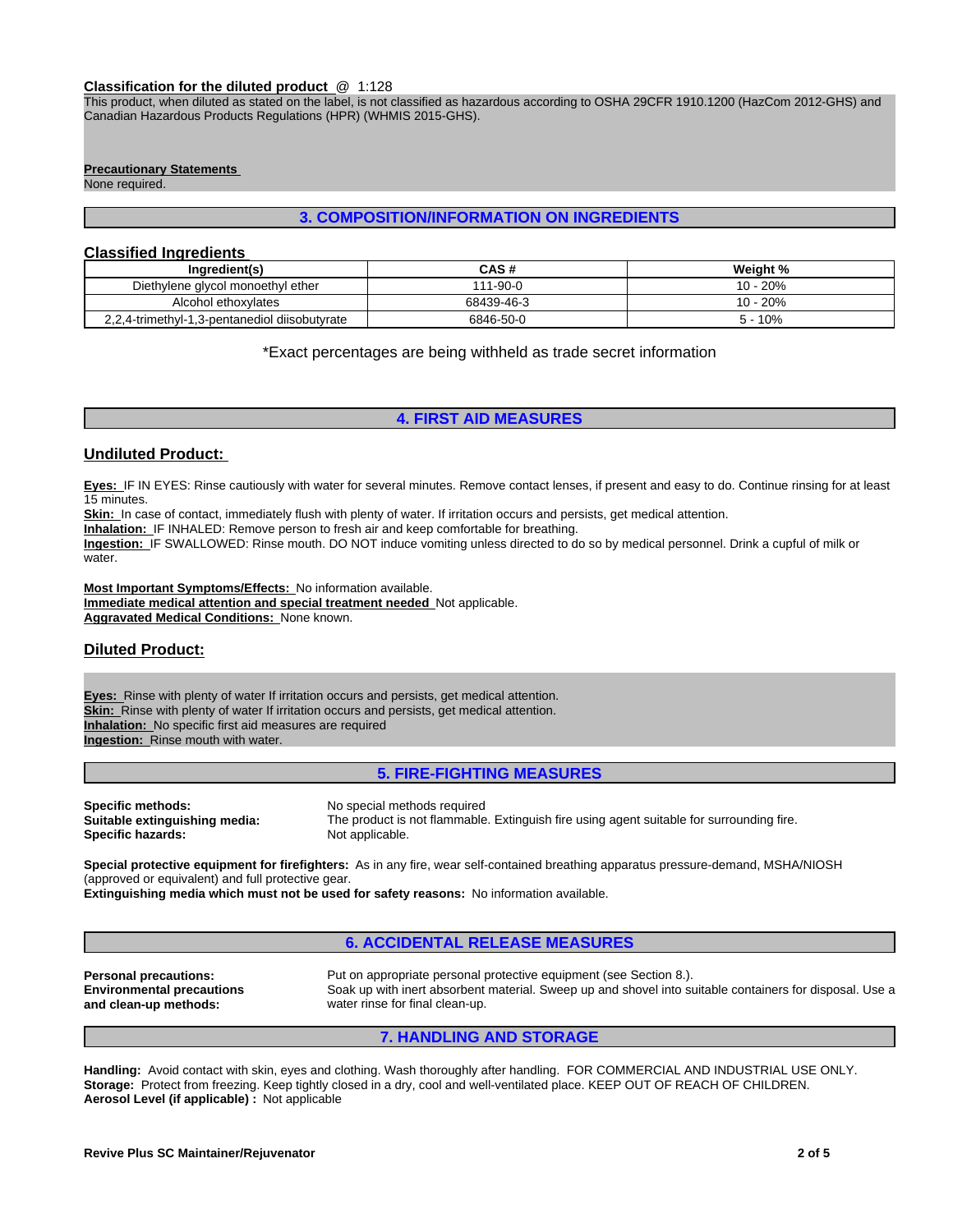#### **Classification for the diluted product** @ 1:128

This product, when diluted as stated on the label, is not classified as hazardous according to OSHA 29CFR 1910.1200 (HazCom 2012-GHS) and Canadian Hazardous Products Regulations (HPR) (WHMIS 2015-GHS).

#### **Precautionary Statements**

None required.

#### **3. COMPOSITION/INFORMATION ON INGREDIENTS**

#### **Classified Ingredients**

| Ingredient(s)                                 | <b>CAS#</b>         | Weight %  |
|-----------------------------------------------|---------------------|-----------|
| Diethylene glycol monoethyl ether             | $1 - 90 - 0$<br>111 | $0 - 20%$ |
| Alcohol ethoxylates                           | 68439-46-3          | 10 - 20%  |
| 2,2,4-trimethyl-1,3-pentanediol diisobutyrate | 6846-50-0           | 10%       |

\*Exact percentages are being withheld as trade secret information

## **4. FIRST AID MEASURES**

## **Undiluted Product:**

**Eyes:** IF IN EYES: Rinse cautiously with water for several minutes. Remove contact lenses, if present and easy to do. Continue rinsing for at least 15 minutes.

Skin: In case of contact, immediately flush with plenty of water. If irritation occurs and persists, get medical attention.

**Inhalation:** IF INHALED: Remove person to fresh air and keep comfortable for breathing.

**Ingestion:** IF SWALLOWED: Rinse mouth. DO NOT induce vomiting unless directed to do so by medical personnel. Drink a cupful of milk or water.

**Most Important Symptoms/Effects:** No information available. **Immediate medical attention and special treatment needed** Not applicable. **Aggravated Medical Conditions:** None known.

## **Diluted Product:**

**Eyes:** Rinse with plenty of water If irritation occurs and persists, get medical attention. **Skin:** Rinse with plenty of water If irritation occurs and persists, get medical attention. **Inhalation:** No specific first aid measures are required **Ingestion:** Rinse mouth with water.

## **5. FIRE-FIGHTING MEASURES**

**Specific methods:** No special methods required **Specific hazards:** 

**Suitable extinguishing media:** The product is not flammable. Extinguish fire using agent suitable for surrounding fire.

**Special protective equipment for firefighters:** As in any fire, wear self-contained breathing apparatus pressure-demand, MSHA/NIOSH (approved or equivalent) and full protective gear.

**Extinguishing media which must not be used for safety reasons:** No information available.

#### **6. ACCIDENTAL RELEASE MEASURES**

**Environmental precautions and clean-up methods:**

**Personal precautions:** Put on appropriate personal protective equipment (see Section 8.). Soak up with inert absorbent material. Sweep up and shovel into suitable containers for disposal. Use a water rinse for final clean-up.

#### **7. HANDLING AND STORAGE**

**Handling:** Avoid contact with skin, eyes and clothing. Wash thoroughly after handling. FOR COMMERCIAL AND INDUSTRIAL USE ONLY. **Storage:** Protect from freezing. Keep tightly closed in a dry, cool and well-ventilated place. KEEP OUT OF REACH OF CHILDREN. **Aerosol Level (if applicable) :** Not applicable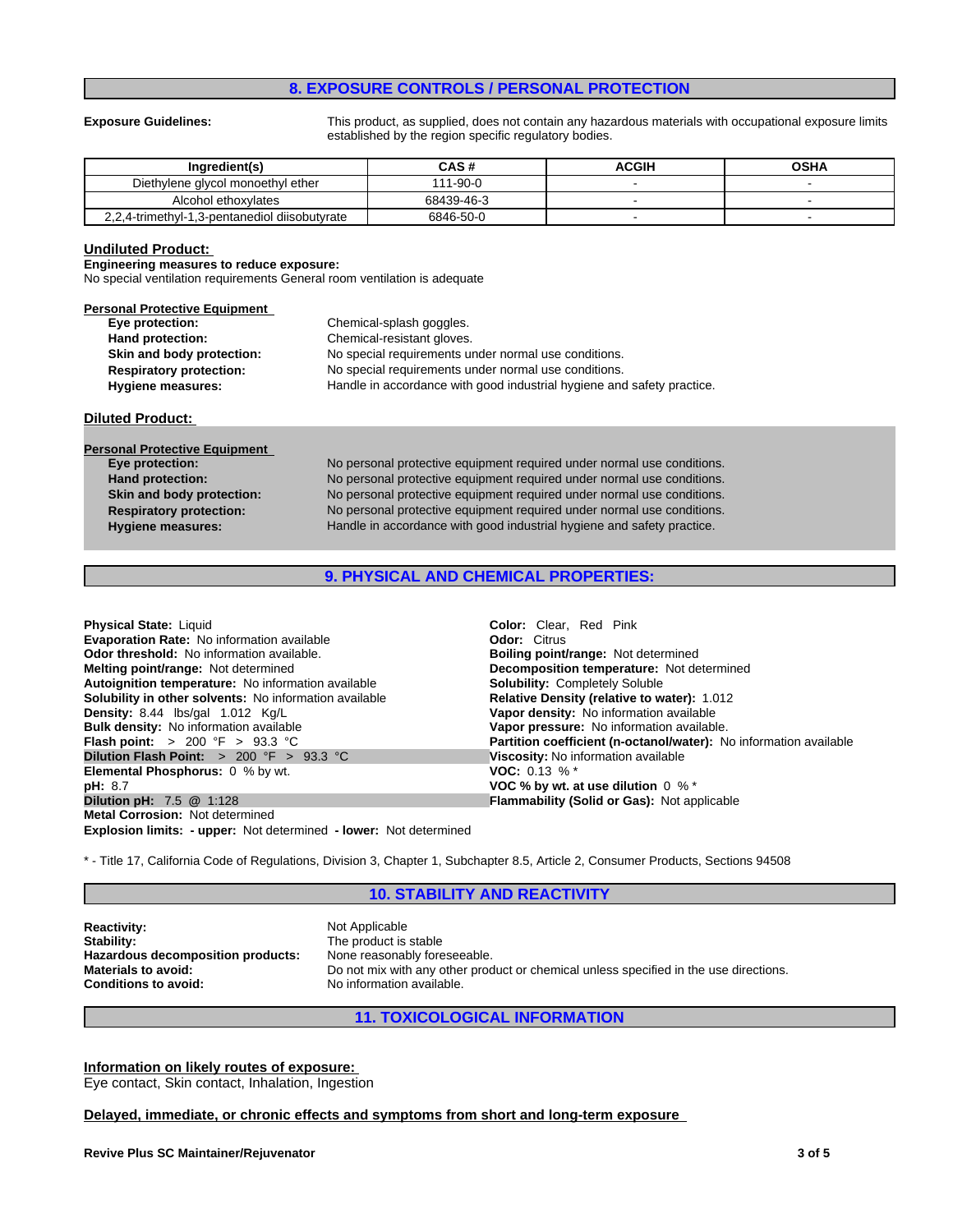## **8. EXPOSURE CONTROLS / PERSONAL PROTECTION**

**Exposure Guidelines:** This product, as supplied, does not contain any hazardous materials with occupational exposure limits established by the region specific regulatory bodies.

| Inaredient(s)                                 | CAS #      | ACGIH | <b>OSHA</b> |
|-----------------------------------------------|------------|-------|-------------|
| Diethylene glycol monoethyl ether             | 111-90-0   |       |             |
| Alcohol ethoxylates                           | 68439-46-3 |       |             |
| 2.2.4-trimethyl-1.3-pentanediol diisobutyrate | 6846-50-0  |       |             |

#### **Undiluted Product:**

**Engineering measures to reduce exposure:**

No special ventilation requirements General room ventilation is adequate

| <b>Personal Protective Equipment</b> |                                                                        |
|--------------------------------------|------------------------------------------------------------------------|
| Eye protection:                      | Chemical-splash goggles.                                               |
| Hand protection:                     | Chemical-resistant gloves.                                             |
| Skin and body protection:            | No special requirements under normal use conditions.                   |
| <b>Respiratory protection:</b>       | No special requirements under normal use conditions.                   |
| <b>Hygiene measures:</b>             | Handle in accordance with good industrial hygiene and safety practice. |

#### **Diluted Product:**

| No personal protective equipment required under normal use conditions. |
|------------------------------------------------------------------------|
| No personal protective equipment required under normal use conditions. |
| No personal protective equipment required under normal use conditions. |
| No personal protective equipment required under normal use conditions. |
| Handle in accordance with good industrial hygiene and safety practice. |
|                                                                        |

## **9. PHYSICAL AND CHEMICAL PROPERTIES:**

| <b>Color:</b> Clear. Red Pink                                     |
|-------------------------------------------------------------------|
| <b>Odor: Citrus</b>                                               |
| Boiling point/range: Not determined                               |
| Decomposition temperature: Not determined                         |
| <b>Solubility: Completely Soluble</b>                             |
| <b>Relative Density (relative to water): 1.012</b>                |
| Vapor density: No information available                           |
| Vapor pressure: No information available.                         |
| Partition coefficient (n-octanol/water): No information available |
| Viscosity: No information available                               |
| <b>VOC:</b> 0.13 % $*$                                            |
| VOC % by wt. at use dilution $0 \%$ *                             |
| <b>Flammability (Solid or Gas): Not applicable</b>                |
|                                                                   |
|                                                                   |

**Explosion limits: - upper:** Not determined **- lower:** Not determined

\* - Title 17, California Code of Regulations, Division 3, Chapter 1, Subchapter 8.5, Article 2, Consumer Products, Sections 94508

#### **10. STABILITY AND REACTIVITY**

**Reactivity:** Not Applicable<br> **Stability:** Not Applicable<br> **Stability:** Not Applicable Stability: **Hazardous decomposition products:** None reasonably foreseeable.<br>Materials to avoid: Do not mix with any other prod **Conditions to avoid:** No information available.

**Stability:** The product is stable Do not mix with any other product or chemical unless specified in the use directions.

## **11. TOXICOLOGICAL INFORMATION**

#### **Information on likely routes of exposure:**

Eye contact, Skin contact, Inhalation, Ingestion

#### **Delayed, immediate, or chronic effects and symptoms from short and long-term exposure**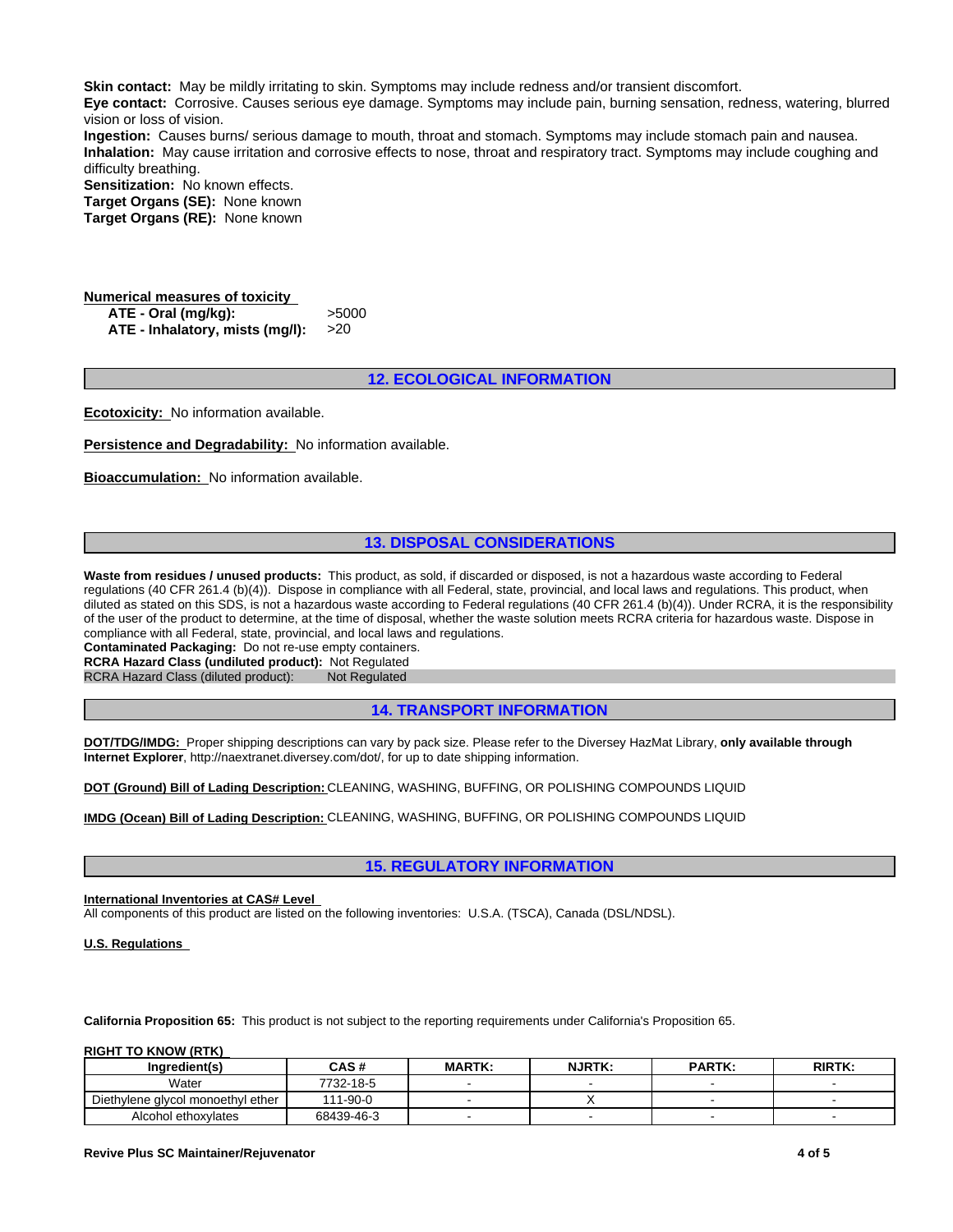**Skin contact:** May be mildly irritating to skin. Symptoms may include redness and/or transient discomfort.

**Eye contact:** Corrosive. Causes serious eye damage. Symptoms may include pain, burning sensation, redness, watering, blurred vision or loss of vision.

**Ingestion:** Causes burns/ serious damage to mouth, throat and stomach. Symptoms may include stomach pain and nausea. **Inhalation:** May cause irritation and corrosive effects to nose, throat and respiratory tract. Symptoms may include coughing and difficulty breathing.

**Sensitization:** No known effects.

**Target Organs (SE):** None known **Target Organs (RE):** None known

**Numerical measures of toxicity ATE - Oral (mg/kg):** >5000 **ATE - Inhalatory, mists (mg/l):** >20

#### **12. ECOLOGICAL INFORMATION**

**Ecotoxicity:** No information available.

**Persistence and Degradability:** No information available.

**Bioaccumulation:** No information available.

## **13. DISPOSAL CONSIDERATIONS**

Waste from residues / unused products: This product, as sold, if discarded or disposed, is not a hazardous waste according to Federal regulations (40 CFR 261.4 (b)(4)). Dispose in compliance with all Federal, state, provincial, and local laws and regulations. This product, when diluted as stated on this SDS, is not a hazardous waste according to Federal regulations (40 CFR 261.4 (b)(4)). Under RCRA, it is the responsibility of the user of the product to determine, at the time of disposal, whether the waste solution meets RCRA criteria for hazardous waste. Dispose in compliance with all Federal, state, provincial, and local laws and regulations.

**Contaminated Packaging:** Do not re-use empty containers.

**RCRA Hazard Class (undiluted product):** Not Regulated

RCRA Hazard Class (diluted product): Not Regulated

## **14. TRANSPORT INFORMATION**

**DOT/TDG/IMDG:** Proper shipping descriptions can vary by pack size. Please refer to the Diversey HazMat Library, **only available through Internet Explorer**, http://naextranet.diversey.com/dot/, for up to date shipping information.

**DOT (Ground) Bill of Lading Description:** CLEANING, WASHING, BUFFING, OR POLISHING COMPOUNDS LIQUID

**IMDG (Ocean) Bill of Lading Description:** CLEANING, WASHING, BUFFING, OR POLISHING COMPOUNDS LIQUID

#### **15. REGULATORY INFORMATION**

#### **International Inventories at CAS# Level**

All components of this product are listed on the following inventories: U.S.A. (TSCA), Canada (DSL/NDSL).

**U.S. Regulations** 

**California Proposition 65:** This product is not subject to the reporting requirements under California's Proposition 65.

**RIGHT TO KNOW (RTK)** 

| Inaredient(s)                     | CAS #      | <b>MARTK:</b> | <b>NJRTK:</b> | <b>PARTK:</b> | <b>RIRTK:</b> |
|-----------------------------------|------------|---------------|---------------|---------------|---------------|
| Water                             | 7732-18-5  |               |               |               |               |
| Diethylene alvcol monoethyl ether | 111-90-0   |               |               |               |               |
| Alcohol ethoxylates               | 68439-46-3 |               |               |               |               |